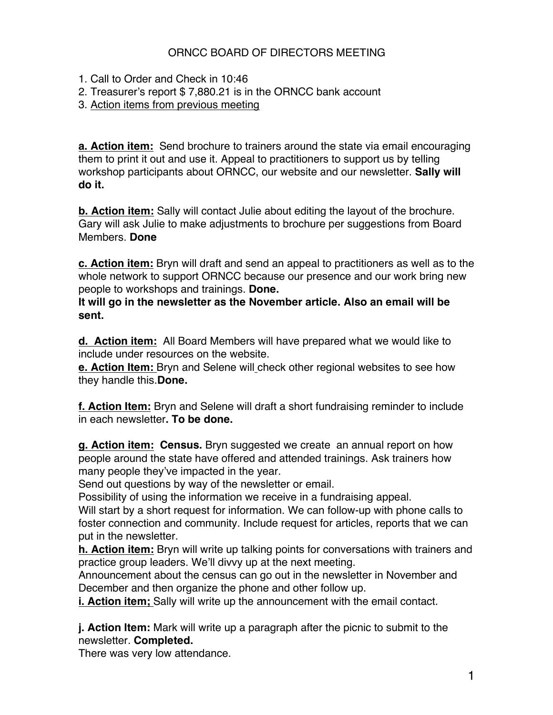## ORNCC BOARD OF DIRECTORS MEETING

- 1. Call to Order and Check in 10:46
- 2. Treasurer's report \$ 7,880.21 is in the ORNCC bank account
- 3. Action items from previous meeting

**a. Action item:** Send brochure to trainers around the state via email encouraging them to print it out and use it. Appeal to practitioners to support us by telling workshop participants about ORNCC, our website and our newsletter. **Sally will do it.**

**b. Action item:** Sally will contact Julie about editing the layout of the brochure. Gary will ask Julie to make adjustments to brochure per suggestions from Board Members. **Done**

**c. Action item:** Bryn will draft and send an appeal to practitioners as well as to the whole network to support ORNCC because our presence and our work bring new people to workshops and trainings. **Done.**

**It will go in the newsletter as the November article. Also an email will be sent.**

**d. Action item:** All Board Members will have prepared what we would like to include under resources on the website.

**e. Action Item:** Bryn and Selene will check other regional websites to see how they handle this.**Done.**

**f. Action Item:** Bryn and Selene will draft a short fundraising reminder to include in each newsletter**. To be done.**

**g. Action item: Census.** Bryn suggested we create an annual report on how people around the state have offered and attended trainings. Ask trainers how many people they've impacted in the year.

Send out questions by way of the newsletter or email.

Possibility of using the information we receive in a fundraising appeal.

Will start by a short request for information. We can follow-up with phone calls to foster connection and community. Include request for articles, reports that we can put in the newsletter.

**h. Action item:** Bryn will write up talking points for conversations with trainers and practice group leaders. We'll divvy up at the next meeting.

Announcement about the census can go out in the newsletter in November and December and then organize the phone and other follow up.

**i. Action item;** Sally will write up the announcement with the email contact.

**j. Action Item:** Mark will write up a paragraph after the picnic to submit to the newsletter. **Completed.**

There was very low attendance.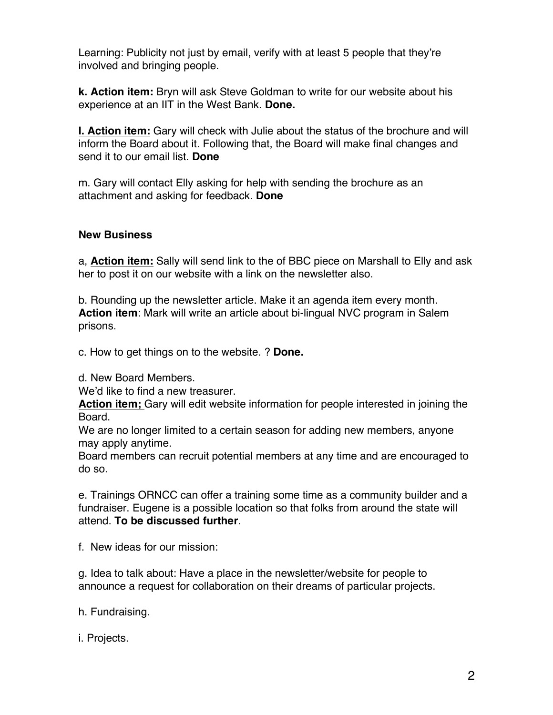Learning: Publicity not just by email, verify with at least 5 people that they're involved and bringing people.

**k. Action item:** Bryn will ask Steve Goldman to write for our website about his experience at an IIT in the West Bank. **Done.** 

**l. Action item:** Gary will check with Julie about the status of the brochure and will inform the Board about it. Following that, the Board will make final changes and send it to our email list. **Done**

m. Gary will contact Elly asking for help with sending the brochure as an attachment and asking for feedback. **Done**

## **New Business**

a, **Action item:** Sally will send link to the of BBC piece on Marshall to Elly and ask her to post it on our website with a link on the newsletter also.

b. Rounding up the newsletter article. Make it an agenda item every month. **Action item**: Mark will write an article about bi-lingual NVC program in Salem prisons.

c. How to get things on to the website. ? **Done.** 

d. New Board Members.

We'd like to find a new treasurer.

**Action item;** Gary will edit website information for people interested in joining the Board.

We are no longer limited to a certain season for adding new members, anyone may apply anytime.

Board members can recruit potential members at any time and are encouraged to do so.

e. Trainings ORNCC can offer a training some time as a community builder and a fundraiser. Eugene is a possible location so that folks from around the state will attend. **To be discussed further**.

f. New ideas for our mission:

g. Idea to talk about: Have a place in the newsletter/website for people to announce a request for collaboration on their dreams of particular projects.

h. Fundraising.

i. Projects.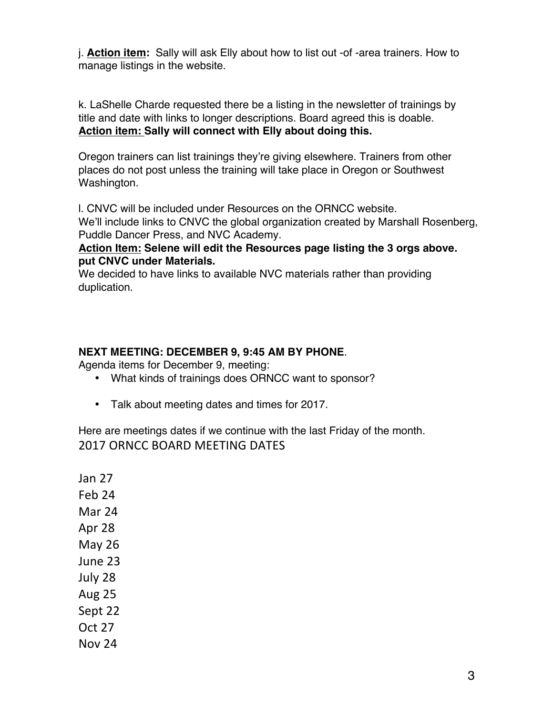j. **Action item:** Sally will ask Elly about how to list out -of -area trainers. How to manage listings in the website.

k. LaShelle Charde requested there be a listing in the newsletter of trainings by title and date with links to longer descriptions. Board agreed this is doable. **Action item: Sally will connect with Elly about doing this.**

Oregon trainers can list trainings they're giving elsewhere. Trainers from other places do not post unless the training will take place in Oregon or Southwest Washington.

l. CNVC will be included under Resources on the ORNCC website.

We'll include links to CNVC the global organization created by Marshall Rosenberg, Puddle Dancer Press, and NVC Academy.

## **Action Item: Selene will edit the Resources page listing the 3 orgs above. put CNVC under Materials.**

We decided to have links to available NVC materials rather than providing duplication.

## **NEXT MEETING: DECEMBER 9, 9:45 AM BY PHONE**.

Agenda items for December 9, meeting:

- What kinds of trainings does ORNCC want to sponsor?
- Talk about meeting dates and times for 2017.

Here are meetings dates if we continue with the last Friday of the month. 2017 ORNCC BOARD MEETING DATES

Jan 27 Feb 24 Mar 24 Apr 28 May 26 June 23 July 28 Aug 25 Sept 22 Oct 27 Nov 24